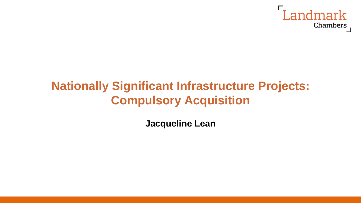

## **Nationally Significant Infrastructure Projects: Compulsory Acquisition**

**Jacqueline Lean**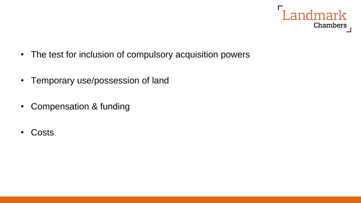

- The test for inclusion of compulsory acquisition powers
- Temporary use/possession of land
- Compensation & funding
- Costs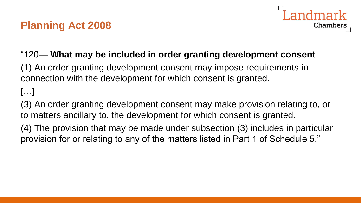## **Planning Act 2008**



#### "120— **What may be included in order granting development consent**

(1) An order granting development consent may impose requirements in connection with the development for which consent is granted.

#### […]

(3) An order granting development consent may make provision relating to, or to matters ancillary to, the development for which consent is granted.

(4) The provision that may be made under subsection (3) includes in particular provision for or relating to any of the matters listed in Part 1 of Schedule 5."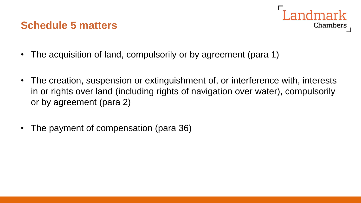#### **Schedule 5 matters**



- The acquisition of land, compulsorily or by agreement (para 1)
- The creation, suspension or extinguishment of, or interference with, interests in or rights over land (including rights of navigation over water), compulsorily or by agreement (para 2)
- The payment of compensation (para 36)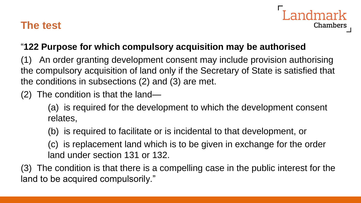#### **The test**



#### "**122 Purpose for which compulsory acquisition may be authorised**

An order granting development consent may include provision authorising the compulsory acquisition of land only if the Secretary of State is satisfied that the conditions in subsections (2) and (3) are met.

(2) The condition is that the land—

(a) is required for the development to which the development consent relates,

- (b) is required to facilitate or is incidental to that development, or
- (c) is replacement land which is to be given in exchange for the order land under section 131 or 132.

(3) The condition is that there is a compelling case in the public interest for the land to be acquired compulsorily."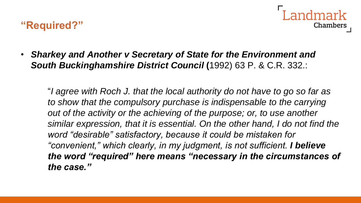#### **"Required?"**



• *Sharkey and Another v Secretary of State for the Environment and South Buckinghamshire District Council* **(**1992) 63 P. & C.R. 332.:

"*I agree with Roch J. that the local authority do not have to go so far as to show that the compulsory purchase is indispensable to the carrying out of the activity or the achieving of the purpose; or, to use another similar expression, that it is essential. On the other hand, I do not find the word "desirable" satisfactory, because it could be mistaken for "convenient," which clearly, in my judgment, is not sufficient. I believe the word "required" here means "necessary in the circumstances of the case."*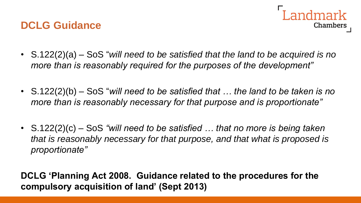#### **DCLG Guidance**



- S.122(2)(a) SoS "*will need to be satisfied that the land to be acquired is no more than is reasonably required for the purposes of the development"*
- S.122(2)(b) SoS "*will need to be satisfied that … the land to be taken is no more than is reasonably necessary for that purpose and is proportionate"*
- S.122(2)(c) SoS *"will need to be satisfied … that no more is being taken that is reasonably necessary for that purpose, and that what is proposed is proportionate"*

**DCLG 'Planning Act 2008. Guidance related to the procedures for the compulsory acquisition of land' (Sept 2013)**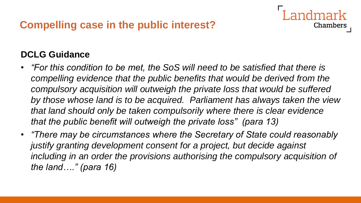#### **DCLG Guidance**

• *"For this condition to be met, the SoS will need to be satisfied that there is compelling evidence that the public benefits that would be derived from the compulsory acquisition will outweigh the private loss that would be suffered by those whose land is to be acquired. Parliament has always taken the view that land should only be taken compulsorily where there is clear evidence that the public benefit will outweigh the private loss" (para 13)*

Chambers

• *"There may be circumstances where the Secretary of State could reasonably justify granting development consent for a project, but decide against including in an order the provisions authorising the compulsory acquisition of the land…." (para 16)*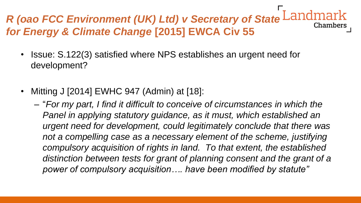#### *R (oao FCC Environment (UK) Ltd) v Secretary of State* **Chambers** *for Energy & Climate Change* **[2015] EWCA Civ 55**

- Issue: S.122(3) satisfied where NPS establishes an urgent need for development?
- Mitting J [2014] EWHC 947 (Admin) at [18]:
	- "*For my part, I find it difficult to conceive of circumstances in which the Panel in applying statutory guidance, as it must, which established an urgent need for development, could legitimately conclude that there was*  not a compelling case as a necessary element of the scheme, justifying *compulsory acquisition of rights in land. To that extent, the established distinction between tests for grant of planning consent and the grant of a power of compulsory acquisition…. have been modified by statute"*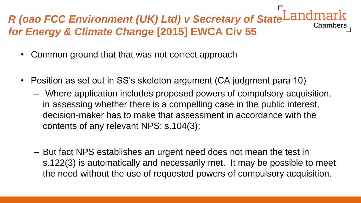## *R (oao FCC Environment (UK) Ltd) v Secretary of State for Energy & Climate Change* **[2015] EWCA Civ 55**

- Common ground that that was not correct approach
- Position as set out in SS's skeleton argument (CA judgment para 10)
	- Where application includes proposed powers of compulsory acquisition, in assessing whether there is a compelling case in the public interest, decision-maker has to make that assessment in accordance with the contents of any relevant NPS: s.104(3);
	- But fact NPS establishes an urgent need does not mean the test in s.122(3) is automatically and necessarily met. It may be possible to meet the need without the use of requested powers of compulsory acquisition.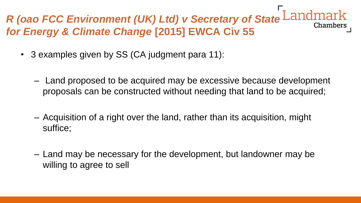# *R (oao FCC Environment (UK) Ltd) v Secretary of State for Energy & Climate Change* **[2015] EWCA Civ 55**

- 3 examples given by SS (CA judgment para 11):
	- Land proposed to be acquired may be excessive because development proposals can be constructed without needing that land to be acquired;
	- Acquisition of a right over the land, rather than its acquisition, might suffice;
	- Land may be necessary for the development, but landowner may be willing to agree to sell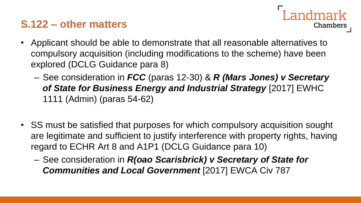## **S.122 – other matters**



- Applicant should be able to demonstrate that all reasonable alternatives to compulsory acquisition (including modifications to the scheme) have been explored (DCLG Guidance para 8)
	- See consideration in *FCC* (paras 12-30) & *R (Mars Jones) v Secretary of State for Business Energy and Industrial Strategy* [2017] EWHC 1111 (Admin) (paras 54-62)
- SS must be satisfied that purposes for which compulsory acquisition sought are legitimate and sufficient to justify interference with property rights, having regard to ECHR Art 8 and A1P1 (DCLG Guidance para 10)
	- See consideration in *R(oao Scarisbrick) v Secretary of State for Communities and Local Government* [2017] EWCA Civ 787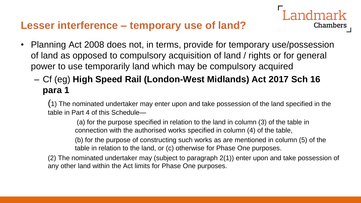#### **Lesser interference – temporary use of land?**

- Planning Act 2008 does not, in terms, provide for temporary use/possession of land as opposed to compulsory acquisition of land / rights or for general power to use temporarily land which may be compulsory acquired
	- Cf (eg) **High Speed Rail (London-West Midlands) Act 2017 Sch 16 para 1**

(1) The nominated undertaker may enter upon and take possession of the land specified in the table in Part 4 of this Schedule—

(a) for the purpose specified in relation to the land in column (3) of the table in connection with the authorised works specified in column (4) of the table,

(b) for the purpose of constructing such works as are mentioned in column (5) of the table in relation to the land, or (c) otherwise for Phase One purposes.

Chambers

(2) The nominated undertaker may (subject to paragraph 2(1)) enter upon and take possession of any other land within the Act limits for Phase One purposes.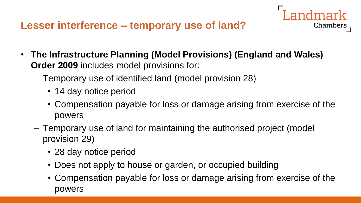

- Temporary use of identified land (model provision 28)
	- 14 day notice period
	- Compensation payable for loss or damage arising from exercise of the powers

Landmark

- Temporary use of land for maintaining the authorised project (model provision 29)
	- 28 day notice period
	- Does not apply to house or garden, or occupied building
	- Compensation payable for loss or damage arising from exercise of the powers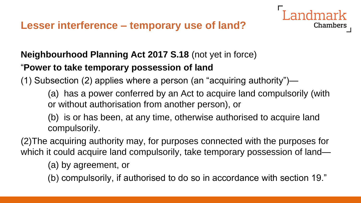

(1) Subsection (2) applies where a person (an "acquiring authority")—

(a) has a power conferred by an Act to acquire land compulsorily (with or without authorisation from another person), or

Chambers

(b) is or has been, at any time, otherwise authorised to acquire land compulsorily.

(2)The acquiring authority may, for purposes connected with the purposes for which it could acquire land compulsorily, take temporary possession of land—

(a) by agreement, or

(b) compulsorily, if authorised to do so in accordance with section 19."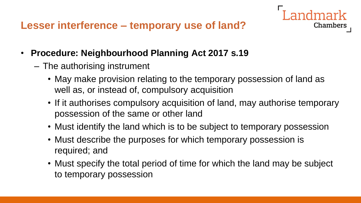

- The authorising instrument
	- May make provision relating to the temporary possession of land as well as, or instead of, compulsory acquisition
	- If it authorises compulsory acquisition of land, may authorise temporary possession of the same or other land

- Must identify the land which is to be subject to temporary possession
- Must describe the purposes for which temporary possession is required; and
- Must specify the total period of time for which the land may be subject to temporary possession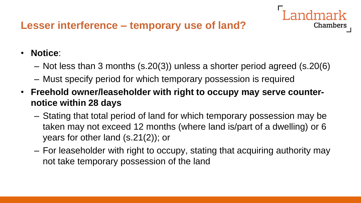## **Lesser interference – temporary use of land?**

#### • **Notice**:

– Not less than 3 months (s.20(3)) unless a shorter period agreed (s.20(6)

- Must specify period for which temporary possession is required
- **Freehold owner/leaseholder with right to occupy may serve counternotice within 28 days**
	- Stating that total period of land for which temporary possession may be taken may not exceed 12 months (where land is/part of a dwelling) or 6 years for other land (s.21(2)); or
	- For leaseholder with right to occupy, stating that acquiring authority may not take temporary possession of the land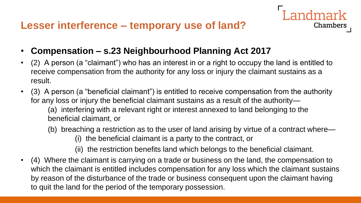

- **Compensation – s.23 Neighbourhood Planning Act 2017**
- (2) A person (a "claimant") who has an interest in or a right to occupy the land is entitled to receive compensation from the authority for any loss or injury the claimant sustains as a result.
- (3) A person (a "beneficial claimant") is entitled to receive compensation from the authority for any loss or injury the beneficial claimant sustains as a result of the authority—

(a) interfering with a relevant right or interest annexed to land belonging to the beneficial claimant, or

- (b) breaching a restriction as to the user of land arising by virtue of a contract where— (i) the beneficial claimant is a party to the contract, or
	- (ii) the restriction benefits land which belongs to the beneficial claimant.
- (4) Where the claimant is carrying on a trade or business on the land, the compensation to which the claimant is entitled includes compensation for any loss which the claimant sustains by reason of the disturbance of the trade or business consequent upon the claimant having to quit the land for the period of the temporary possession.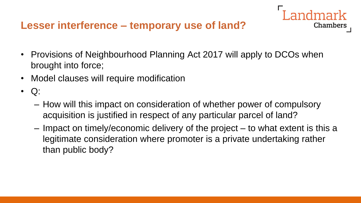#### **Lesser interference – temporary use of land?**

• Provisions of Neighbourhood Planning Act 2017 will apply to DCOs when brought into force;

- Model clauses will require modification
- $\bullet$  Q:
	- How will this impact on consideration of whether power of compulsory acquisition is justified in respect of any particular parcel of land?
	- Impact on timely/economic delivery of the project to what extent is this a legitimate consideration where promoter is a private undertaking rather than public body?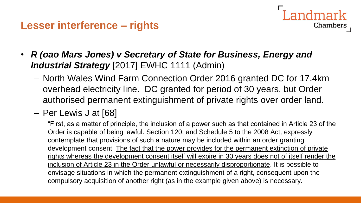**Lesser interference – rights**

- Landmark Chambers
- *R (oao Mars Jones) v Secretary of State for Business, Energy and Industrial Strategy* [2017] EWHC 1111 (Admin)
	- North Wales Wind Farm Connection Order 2016 granted DC for 17.4km overhead electricity line. DC granted for period of 30 years, but Order authorised permanent extinguishment of private rights over order land.
	- Per Lewis J at [68]

"First, as a matter of principle, the inclusion of a power such as that contained in Article 23 of the Order is capable of being lawful. Section 120, and Schedule 5 to the 2008 Act, expressly contemplate that provisions of such a nature may be included within an order granting development consent. The fact that the power provides for the permanent extinction of private rights whereas the development consent itself will expire in 30 years does not of itself render the inclusion of Article 23 in the Order unlawful or necessarily disproportionate. It is possible to envisage situations in which the permanent extinguishment of a right, consequent upon the compulsory acquisition of another right (as in the example given above) is necessary.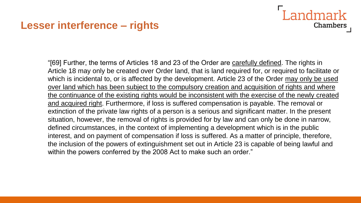#### **Lesser interference – rights**

"[69] Further, the terms of Articles 18 and 23 of the Order are carefully defined. The rights in Article 18 may only be created over Order land, that is land required for, or required to facilitate or which is incidental to, or is affected by the development. Article 23 of the Order may only be used over land which has been subject to the compulsory creation and acquisition of rights and where the continuance of the existing rights would be inconsistent with the exercise of the newly created and acquired right. Furthermore, if loss is suffered compensation is payable. The removal or extinction of the private law rights of a person is a serious and significant matter. In the present situation, however, the removal of rights is provided for by law and can only be done in narrow, defined circumstances, in the context of implementing a development which is in the public interest, and on payment of compensation if loss is suffered. As a matter of principle, therefore, the inclusion of the powers of extinguishment set out in Article 23 is capable of being lawful and within the powers conferred by the 2008 Act to make such an order."

Landmark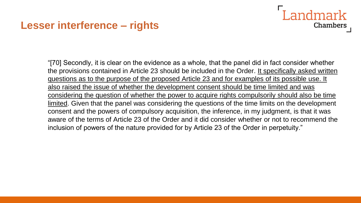#### **Lesser interference – rights**

"[70] Secondly, it is clear on the evidence as a whole, that the panel did in fact consider whether the provisions contained in Article 23 should be included in the Order. It specifically asked written questions as to the purpose of the proposed Article 23 and for examples of its possible use. It also raised the issue of whether the development consent should be time limited and was considering the question of whether the power to acquire rights compulsorily should also be time limited. Given that the panel was considering the questions of the time limits on the development consent and the powers of compulsory acquisition, the inference, in my judgment, is that it was aware of the terms of Article 23 of the Order and it did consider whether or not to recommend the inclusion of powers of the nature provided for by Article 23 of the Order in perpetuity."

Landmark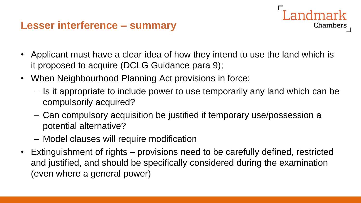#### **Lesser interference – summary**

- Applicant must have a clear idea of how they intend to use the land which is it proposed to acquire (DCLG Guidance para 9);
- When Neighbourhood Planning Act provisions in force:
	- Is it appropriate to include power to use temporarily any land which can be compulsorily acquired?

ndmark

- Can compulsory acquisition be justified if temporary use/possession a potential alternative?
- Model clauses will require modification
- Extinguishment of rights provisions need to be carefully defined, restricted and justified, and should be specifically considered during the examination (even where a general power)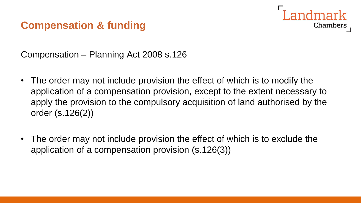# Chambers

#### **Compensation & funding**

Compensation – Planning Act 2008 s.126

- The order may not include provision the effect of which is to modify the application of a compensation provision, except to the extent necessary to apply the provision to the compulsory acquisition of land authorised by the order (s.126(2))
- The order may not include provision the effect of which is to exclude the application of a compensation provision (s.126(3))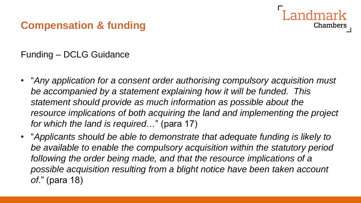#### **Compensation & funding**

Funding – DCLG Guidance

• "*Any application for a consent order authorising compulsory acquisition must be accompanied by a statement explaining how it will be funded. This statement should provide as much information as possible about the resource implications of both acquiring the land and implementing the project for which the land is required*…" (para 17)

Chambers

• "*Applicants should be able to demonstrate that adequate funding is likely to be available to enable the compulsory acquisition within the statutory period following the order being made, and that the resource implications of a possible acquisition resulting from a blight notice have been taken account of*." (para 18)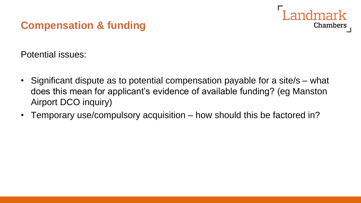### **Compensation & funding**



Potential issues:

- Significant dispute as to potential compensation payable for a site/s what does this mean for applicant's evidence of available funding? (eg Manston Airport DCO inquiry)
- Temporary use/compulsory acquisition how should this be factored in?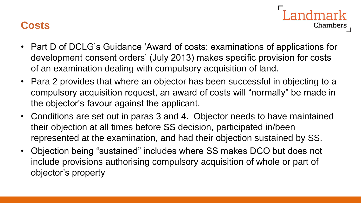#### **Costs**

• Part D of DCLG's Guidance 'Award of costs: examinations of applications for development consent orders' (July 2013) makes specific provision for costs of an examination dealing with compulsory acquisition of land.

- Para 2 provides that where an objector has been successful in objecting to a compulsory acquisition request, an award of costs will "normally" be made in the objector's favour against the applicant.
- Conditions are set out in paras 3 and 4. Objector needs to have maintained their objection at all times before SS decision, participated in/been represented at the examination, and had their objection sustained by SS.
- Objection being "sustained" includes where SS makes DCO but does not include provisions authorising compulsory acquisition of whole or part of objector's property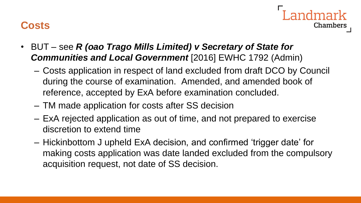#### **Costs**



- BUT see *R (oao Trago Mills Limited) v Secretary of State for Communities and Local Government* [2016] EWHC 1792 (Admin)
	- Costs application in respect of land excluded from draft DCO by Council during the course of examination. Amended, and amended book of reference, accepted by ExA before examination concluded.
	- TM made application for costs after SS decision
	- ExA rejected application as out of time, and not prepared to exercise discretion to extend time
	- Hickinbottom J upheld ExA decision, and confirmed 'trigger date' for making costs application was date landed excluded from the compulsory acquisition request, not date of SS decision.